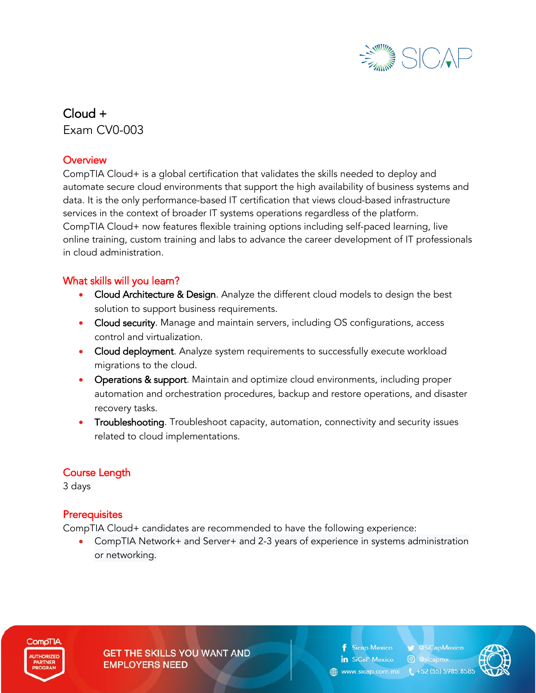

Cloud + Exam CV0-003

#### **Overview**

CompTIA Cloud+ is a global certification that validates the skills needed to deploy and automate secure cloud environments that support the high availability of business systems and data. It is the only performance-based IT certification that views cloud-based infrastructure services in the context of broader IT systems operations regardless of the platform. CompTIA Cloud+ now features flexible training options including self-paced learning, live online training, custom training and labs to advance the career development of IT professionals in cloud administration.

#### What skills will you learn?

- Cloud Architecture & Design. Analyze the different cloud models to design the best solution to support business requirements.
- Cloud security. Manage and maintain servers, including OS configurations, access control and virtualization.
- Cloud deployment. Analyze system requirements to successfully execute workload migrations to the cloud.
- Operations & support. Maintain and optimize cloud environments, including proper automation and orchestration procedures, backup and restore operations, and disaster recovery tasks.
- Troubleshooting. Troubleshoot capacity, automation, connectivity and security issues related to cloud implementations.

## Course Length

3 days

#### **Prerequisites**

CompTIA Cloud+ candidates are recommended to have the following experience:

• CompTIA Network+ and Server+ and 2-3 years of experience in systems administration or networking.



**GET THE SKILLS YOU WANT AND EMPLOYERS NEED** 

**f** Sicap Mexico **V** @SiCapMexico in SiCaP Mexico **O** @sicapmx www.sicap.com.mx (+52 (55) 5985.858